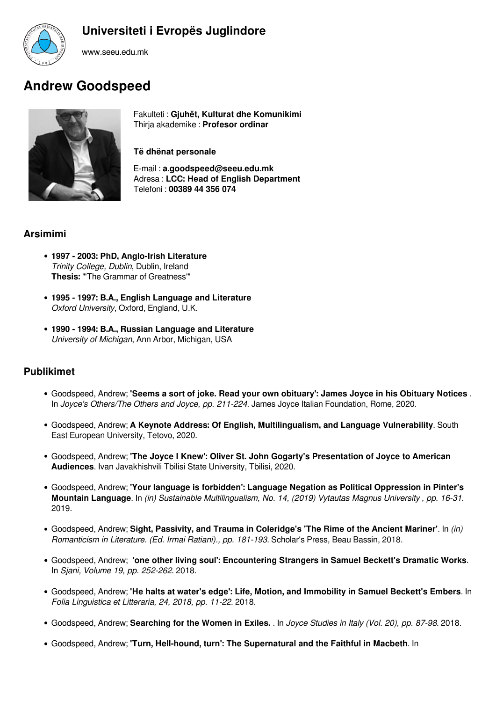



www.seeu.edu.mk

## **Andrew Goodspeed**



Fakulteti : **Gjuhët, Kulturat dhe Komunikimi** Thirja akademike : **Profesor ordinar**

**Të dhënat personale**

E-mail : **a.goodspeed@seeu.edu.mk** Adresa : **LCC: Head of English Department** Telefoni : **00389 44 356 074**

## **Arsimimi**

- **1997 2003: PhD, Anglo-Irish Literature** *Trinity College, Dublin*, Dublin, Ireland **Thesis:** "'The Grammar of Greatness'"
- **1995 1997: B.A., English Language and Literature** *Oxford University*, Oxford, England, U.K.
- **1990 1994: B.A., Russian Language and Literature** *University of Michigan*, Ann Arbor, Michigan, USA

## **Publikimet**

- Goodspeed, Andrew; **'Seems a sort of joke. Read your own obituary': James Joyce in his Obituary Notices** . In *Joyce's Others/The Others and Joyce, pp. 211-224*. James Joyce Italian Foundation, Rome, 2020.
- Goodspeed, Andrew; **A Keynote Address: Of English, Multilingualism, and Language Vulnerability**. South East European University, Tetovo, 2020.
- Goodspeed, Andrew; **'The Joyce I Knew': Oliver St. John Gogarty's Presentation of Joyce to American Audiences**. Ivan Javakhishvili Tbilisi State University, Tbilisi, 2020.
- Goodspeed, Andrew; **'Your language is forbidden': Language Negation as Political Oppression in Pinter's Mountain Language**. In *(in) Sustainable Multilingualism, No. 14, (2019) Vytautas Magnus University , pp. 16-31*. 2019.
- Goodspeed, Andrew; **Sight, Passivity, and Trauma in Coleridge's 'The Rime of the Ancient Mariner'**. In *(in) Romanticism in Literature. (Ed. Irmai Ratiani)., pp. 181-193*. Scholar's Press, Beau Bassin, 2018.
- Goodspeed, Andrew; **'one other living soul': Encountering Strangers in Samuel Beckett's Dramatic Works**. In *Sjani, Volume 19, pp. 252-262*. 2018.
- Goodspeed, Andrew; **'He halts at water's edge': Life, Motion, and Immobility in Samuel Beckett's Embers**. In *Folia Linguistica et Litteraria, 24, 2018, pp. 11-22*. 2018.
- Goodspeed, Andrew; **Searching for the Women in Exiles.** . In *Joyce Studies in Italy (Vol. 20), pp. 87-98*. 2018.
- Goodspeed, Andrew; **'Turn, Hell-hound, turn': The Supernatural and the Faithful in Macbeth**. In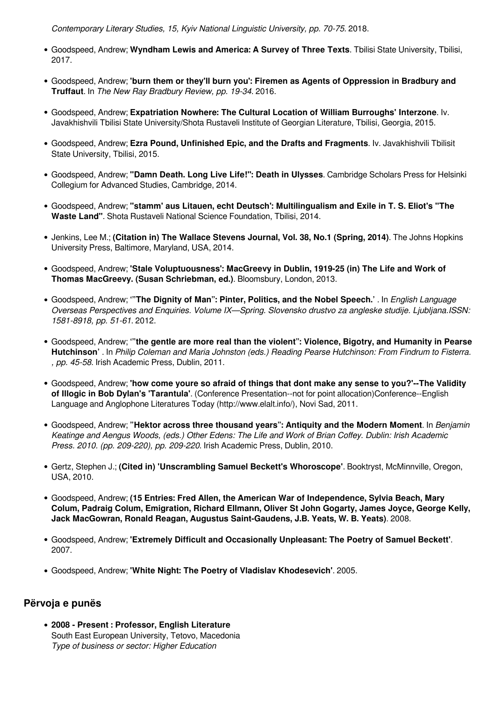*Contemporary Literary Studies, 15, Kyiv National Linguistic University, pp. 70-75*. 2018.

- Goodspeed, Andrew; **Wyndham Lewis and America: A Survey of Three Texts**. Tbilisi State University, Tbilisi, 2017.
- Goodspeed, Andrew; **'burn them or they'll burn you': Firemen as Agents of Oppression in Bradbury and Truffaut**. In *The New Ray Bradbury Review, pp. 19-34*. 2016.
- Goodspeed, Andrew; **Expatriation Nowhere: The Cultural Location of William Burroughs' Interzone**. Iv. Javakhishvili Tbilisi State University/Shota Rustaveli Institute of Georgian Literature, Tbilisi, Georgia, 2015.
- Goodspeed, Andrew; **Ezra Pound, Unfinished Epic, and the Drafts and Fragments**. Iv. Javakhishvili Tbilisit State University, Tbilisi, 2015.
- Goodspeed, Andrew; **"Damn Death. Long Live Life!": Death in Ulysses**. Cambridge Scholars Press for Helsinki Collegium for Advanced Studies, Cambridge, 2014.
- Goodspeed, Andrew; **"stamm' aus Litauen, echt Deutsch': Multilingualism and Exile in T. S. Eliot's "The Waste Land"**. Shota Rustaveli National Science Foundation, Tbilisi, 2014.
- Jenkins, Lee M.; **(Citation in) The Wallace Stevens Journal, Vol. 38, No.1 (Spring, 2014)**. The Johns Hopkins University Press, Baltimore, Maryland, USA, 2014.
- Goodspeed, Andrew; **'Stale Voluptuousness': MacGreevy in Dublin, 1919-25 (in) The Life and Work of Thomas MacGreevy. (Susan Schriebman, ed.)**. Bloomsbury, London, 2013.
- Goodspeed, Andrew; **'"The Dignity of Man": Pinter, Politics, and the Nobel Speech.'** . In *English Language Overseas Perspectives and Enquiries. Volume IX—Spring. Slovensko drustvo za angleske studije. Ljubljana.ISSN: 1581-8918, pp. 51-61*. 2012.
- Goodspeed, Andrew; **'"the gentle are more real than the violent": Violence, Bigotry, and Humanity in Pearse Hutchinson'** . In *Philip Coleman and Maria Johnston (eds.) Reading Pearse Hutchinson: From Findrum to Fisterra. , pp. 45-58*. Irish Academic Press, Dublin, 2011.
- Goodspeed, Andrew; **'how come youre so afraid of things that dont make any sense to you?'--The Validity of Illogic in Bob Dylan's 'Tarantula'**. (Conference Presentation--not for point allocation)Conference--English Language and Anglophone Literatures Today (http://www.elalt.info/), Novi Sad, 2011.
- Goodspeed, Andrew; **"Hektor across three thousand years": Antiquity and the Modern Moment**. In *Benjamin Keatinge and Aengus Woods, (eds.) Other Edens: The Life and Work of Brian Coffey. Dublin: Irish Academic Press. 2010. (pp. 209-220), pp. 209-220*. Irish Academic Press, Dublin, 2010.
- Gertz, Stephen J.; **(Cited in) 'Unscrambling Samuel Beckett's Whoroscope'**. Booktryst, McMinnville, Oregon, USA, 2010.
- Goodspeed, Andrew; **(15 Entries: Fred Allen, the American War of Independence, Sylvia Beach, Mary Colum, Padraig Colum, Emigration, Richard Ellmann, Oliver St John Gogarty, James Joyce, George Kelly, Jack MacGowran, Ronald Reagan, Augustus Saint-Gaudens, J.B. Yeats, W. B. Yeats)**. 2008.
- Goodspeed, Andrew; **'Extremely Difficult and Occasionally Unpleasant: The Poetry of Samuel Beckett'**. 2007.
- Goodspeed, Andrew; **'White Night: The Poetry of Vladislav Khodesevich'**. 2005.

## **Përvoja e punës**

**2008 - Present : Professor, English Literature** South East European University, Tetovo, Macedonia *Type of business or sector: Higher Education*